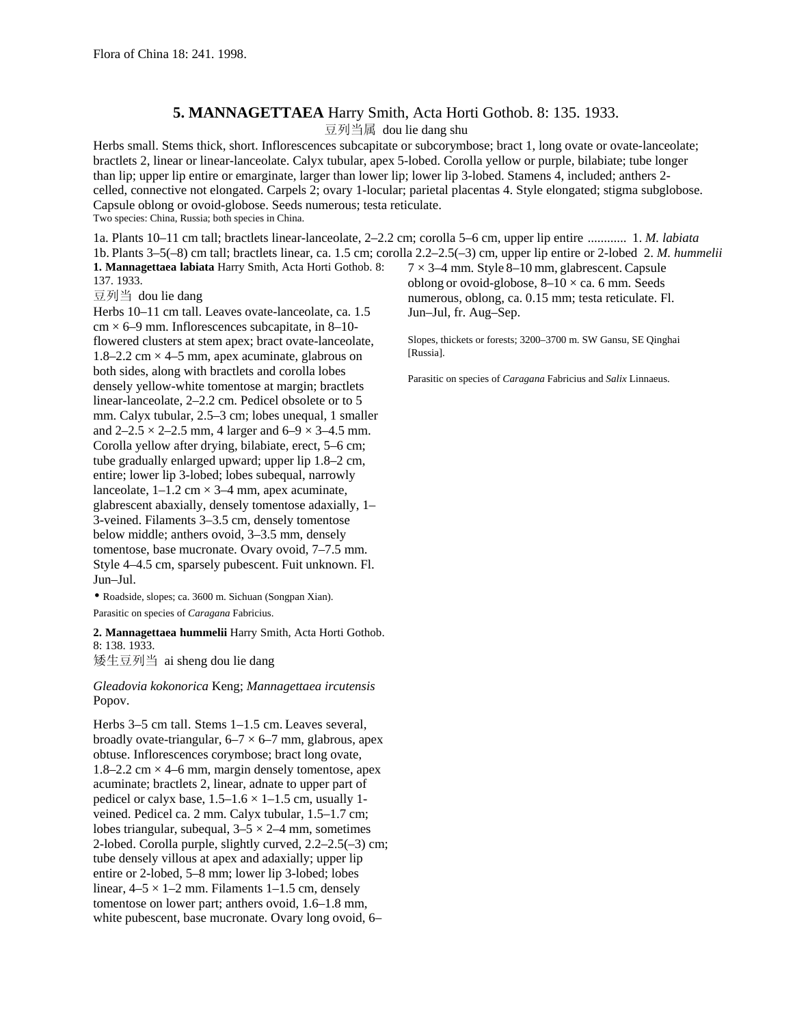## **5. MANNAGETTAEA** Harry Smith, Acta Horti Gothob. 8: 135. 1933.

豆列当属 dou lie dang shu

Herbs small. Stems thick, short. Inflorescences subcapitate or subcorymbose; bract 1, long ovate or ovate-lanceolate; bractlets 2, linear or linear-lanceolate. Calyx tubular, apex 5-lobed. Corolla yellow or purple, bilabiate; tube longer than lip; upper lip entire or emarginate, larger than lower lip; lower lip 3-lobed. Stamens 4, included; anthers 2 celled, connective not elongated. Carpels 2; ovary 1-locular; parietal placentas 4. Style elongated; stigma subglobose. Capsule oblong or ovoid-globose. Seeds numerous; testa reticulate. Two species: China, Russia; both species in China.

1a. Plants 10–11 cm tall; bractlets linear-lanceolate, 2–2.2 cm; corolla 5–6 cm, upper lip entire ............ 1. *M. labiata* 1b. Plants 3–5(–8) cm tall; bractlets linear, ca. 1.5 cm; corolla 2.2–2.5(–3) cm, upper lip entire or 2-lobed 2. *M. hummelii* **1. Mannagettaea labiata** Harry Smith, Acta Horti Gothob. 8: 137. 1933.  $7 \times 3$ –4 mm. Style 8–10 mm, glabrescent. Capsule

豆列当 dou lie dang

Herbs 10–11 cm tall. Leaves ovate-lanceolate, ca. 1.5  $cm \times 6-9$  mm. Inflorescences subcapitate, in 8–10flowered clusters at stem apex; bract ovate-lanceolate, 1.8–2.2 cm  $\times$  4–5 mm, apex acuminate, glabrous on both sides, along with bractlets and corolla lobes densely yellow-white tomentose at margin; bractlets linear-lanceolate, 2–2.2 cm. Pedicel obsolete or to 5 mm. Calyx tubular, 2.5–3 cm; lobes unequal, 1 smaller and  $2-2.5 \times 2-2.5$  mm, 4 larger and  $6-9 \times 3-4.5$  mm. Corolla yellow after drying, bilabiate, erect, 5–6 cm; tube gradually enlarged upward; upper lip 1.8–2 cm, entire; lower lip 3-lobed; lobes subequal, narrowly lanceolate,  $1-1.2$  cm  $\times$  3–4 mm, apex acuminate, glabrescent abaxially, densely tomentose adaxially, 1– 3-veined. Filaments 3–3.5 cm, densely tomentose below middle; anthers ovoid, 3–3.5 mm, densely tomentose, base mucronate. Ovary ovoid, 7–7.5 mm. Style 4–4.5 cm, sparsely pubescent. Fuit unknown. Fl. Jun–Jul.

• Roadside, slopes; ca. 3600 m. Sichuan (Songpan Xian). Parasitic on species of *Caragana* Fabricius.

**2. Mannagettaea hummelii** Harry Smith, Acta Horti Gothob. 8: 138. 1933. 矮生豆列当 ai sheng dou lie dang

*Gleadovia kokonorica* Keng; *Mannagettaea ircutensis* Popov.

Herbs 3–5 cm tall. Stems 1–1.5 cm. Leaves several, broadly ovate-triangular,  $6-7 \times 6-7$  mm, glabrous, apex obtuse. Inflorescences corymbose; bract long ovate, 1.8–2.2 cm  $\times$  4–6 mm, margin densely tomentose, apex acuminate; bractlets 2, linear, adnate to upper part of pedicel or calyx base,  $1.5-1.6 \times 1-1.5$  cm, usually 1veined. Pedicel ca. 2 mm. Calyx tubular, 1.5–1.7 cm; lobes triangular, subequal,  $3-5 \times 2-4$  mm, sometimes 2-lobed. Corolla purple, slightly curved, 2.2–2.5(–3) cm; tube densely villous at apex and adaxially; upper lip entire or 2-lobed, 5–8 mm; lower lip 3-lobed; lobes linear,  $4-5 \times 1-2$  mm. Filaments 1-1.5 cm, densely tomentose on lower part; anthers ovoid, 1.6–1.8 mm, white pubescent, base mucronate. Ovary long ovoid, 6–

oblong or ovoid-globose,  $8-10 \times$  ca. 6 mm. Seeds numerous, oblong, ca. 0.15 mm; testa reticulate. Fl. Jun–Jul, fr. Aug–Sep.

Slopes, thickets or forests; 3200–3700 m. SW Gansu, SE Qinghai [Russia].

Parasitic on species of *Caragana* Fabricius and *Salix* Linnaeus.